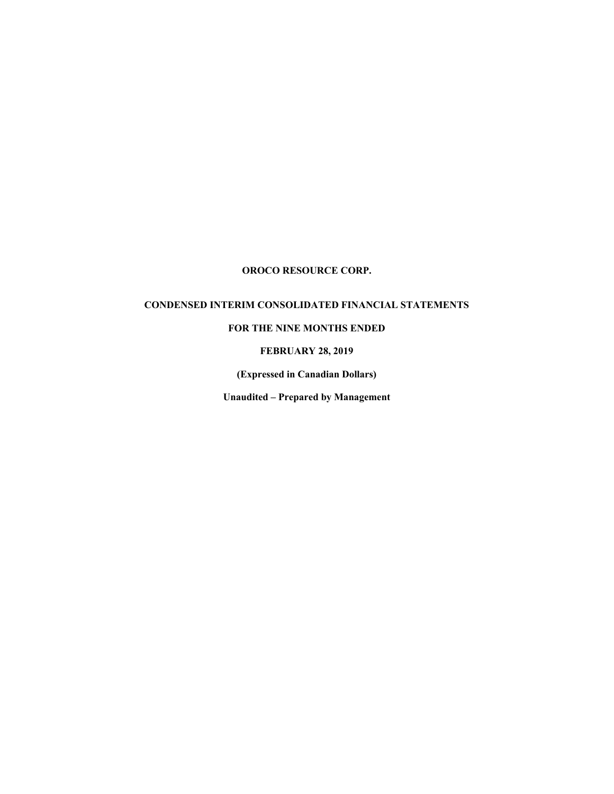# **OROCO RESOURCE CORP.**

# **CONDENSED INTERIM CONSOLIDATED FINANCIAL STATEMENTS**

# **FOR THE NINE MONTHS ENDED**

### **FEBRUARY 28, 2019**

**(Expressed in Canadian Dollars)** 

**Unaudited – Prepared by Management**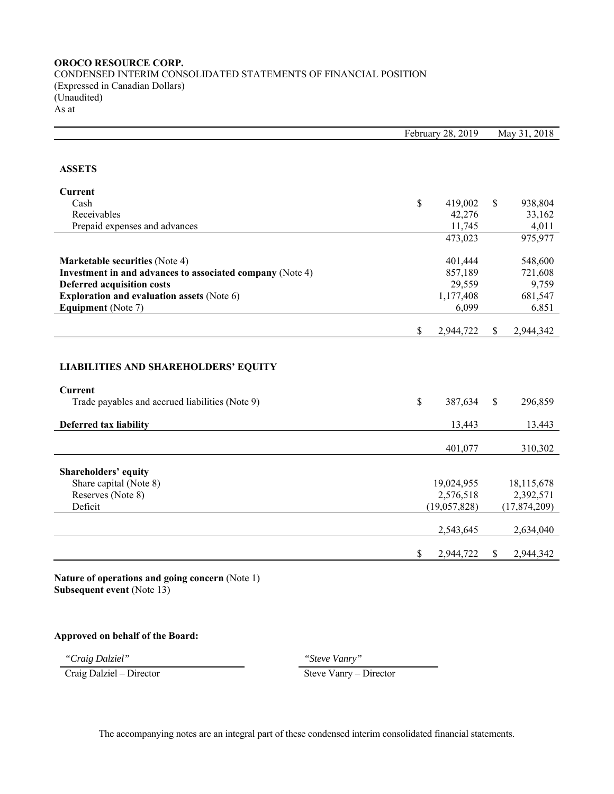# **OROCO RESOURCE CORP.** CONDENSED INTERIM CONSOLIDATED STATEMENTS OF FINANCIAL POSITION (Expressed in Canadian Dollars) (Unaudited) As at

|                                                           | February 28, 2019 |              | May 31, 2018 |
|-----------------------------------------------------------|-------------------|--------------|--------------|
| <b>ASSETS</b>                                             |                   |              |              |
| <b>Current</b>                                            |                   |              |              |
| Cash                                                      | \$<br>419,002     | \$           | 938,804      |
| Receivables                                               | 42,276            |              | 33,162       |
| Prepaid expenses and advances                             | 11,745            |              | 4,011        |
|                                                           | 473,023           |              | 975,977      |
| <b>Marketable securities (Note 4)</b>                     | 401,444           |              | 548,600      |
| Investment in and advances to associated company (Note 4) | 857,189           |              | 721,608      |
| <b>Deferred acquisition costs</b>                         | 29,559            |              | 9,759        |
| <b>Exploration and evaluation assets (Note 6)</b>         | 1,177,408         |              | 681,547      |
| Equipment (Note 7)                                        | 6,099             |              | 6,851        |
|                                                           | \$<br>2,944,722   | S.           | 2,944,342    |
| <b>LIABILITIES AND SHAREHOLDERS' EQUITY</b><br>Current    |                   |              |              |
| Trade payables and accrued liabilities (Note 9)           | \$<br>387,634     | $\mathbb{S}$ | 296,859      |
| Deferred tax liability                                    | 13,443            |              | 13,443       |
|                                                           | 401,077           |              | 310,302      |
| Shareholders' equity                                      |                   |              |              |
| Share capital (Note 8)                                    | 19,024,955        |              | 18,115,678   |
| Reserves (Note 8)                                         | 2,576,518         |              | 2,392,571    |
| Deficit                                                   | (19,057,828)      |              | (17,874,209) |
|                                                           | 2,543,645         |              | 2,634,040    |
|                                                           | \$<br>2,944,722   | \$           | 2,944,342    |

**Nature of operations and going concern** (Note 1) **Subsequent event** (Note 13)

# **Approved on behalf of the Board:**

*"Craig Dalziel" "Steve Vanry"* 

"Craig Dalziel" – Craig Dalziel – Director (Steve Vanry – Steve Vanry – Director – Steve Vanry – Director (Steve Vanry – Director – Steve Vanry – Director – Steve Vanry – Director – Steve Vanry – Director (Steve Vanry – Di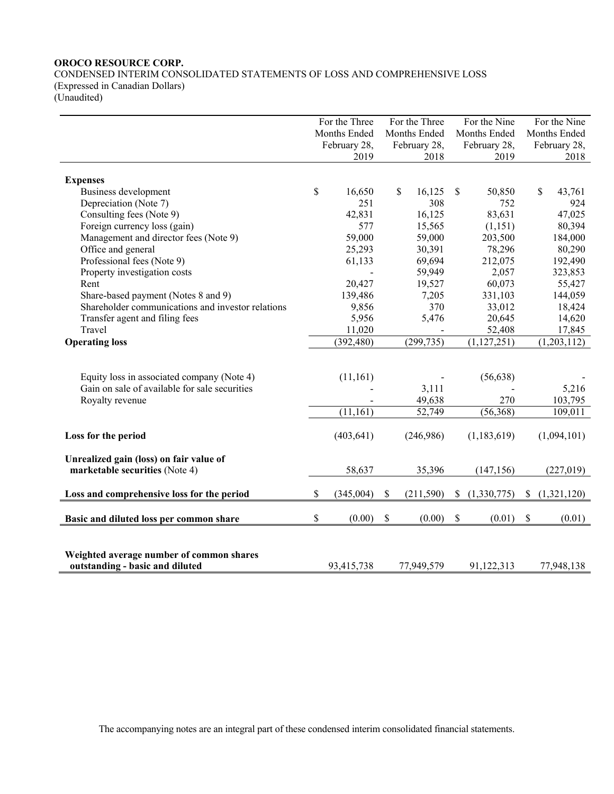# **OROCO RESOURCE CORP.**  CONDENSED INTERIM CONSOLIDATED STATEMENTS OF LOSS AND COMPREHENSIVE LOSS (Expressed in Canadian Dollars)

(Unaudited)

|                                                   | For the Three |              | For the Three    |      | For the Nine  |      | For the Nine |
|---------------------------------------------------|---------------|--------------|------------------|------|---------------|------|--------------|
|                                                   |               | Months Ended | Months Ended     |      | Months Ended  |      | Months Ended |
|                                                   |               | February 28, | February 28,     |      | February 28,  |      | February 28, |
|                                                   |               | 2019         | 2018             |      | 2019          |      | 2018         |
|                                                   |               |              |                  |      |               |      |              |
| <b>Expenses</b>                                   |               |              |                  |      |               |      |              |
| Business development                              | \$            | 16,650       | \$<br>16,125     | \$   | 50,850        |      | \$<br>43,761 |
| Depreciation (Note 7)                             |               | 251          | 308              |      | 752           |      | 924          |
| Consulting fees (Note 9)                          |               | 42,831       | 16,125           |      | 83,631        |      | 47,025       |
| Foreign currency loss (gain)                      |               | 577          | 15,565           |      | (1, 151)      |      | 80,394       |
| Management and director fees (Note 9)             |               | 59,000       | 59,000           |      | 203,500       |      | 184,000      |
| Office and general                                |               | 25,293       | 30,391           |      | 78,296        |      | 80,290       |
| Professional fees (Note 9)                        |               | 61,133       | 69,694           |      | 212,075       |      | 192,490      |
| Property investigation costs                      |               |              | 59,949           |      | 2,057         |      | 323,853      |
| Rent                                              |               | 20,427       | 19,527           |      | 60,073        |      | 55,427       |
| Share-based payment (Notes 8 and 9)               |               | 139,486      | 7,205            |      | 331,103       |      | 144,059      |
| Shareholder communications and investor relations |               | 9,856        | 370              |      | 33,012        |      | 18,424       |
| Transfer agent and filing fees                    |               | 5,956        | 5,476            |      | 20,645        |      | 14,620       |
| Travel                                            |               | 11,020       |                  |      | 52,408        |      | 17,845       |
| <b>Operating loss</b>                             |               | (392, 480)   | (299, 735)       |      | (1, 127, 251) |      | (1,203,112)  |
|                                                   |               |              |                  |      |               |      |              |
|                                                   |               |              |                  |      |               |      |              |
| Equity loss in associated company (Note 4)        |               | (11, 161)    |                  |      | (56, 638)     |      |              |
| Gain on sale of available for sale securities     |               |              | 3,111            |      |               |      | 5,216        |
| Royalty revenue                                   |               |              | 49,638           |      | 270           |      | 103,795      |
|                                                   |               | (11, 161)    | 52,749           |      | (56, 368)     |      | 109,011      |
|                                                   |               |              |                  |      |               |      |              |
| Loss for the period                               |               | (403, 641)   | (246,986)        |      | (1,183,619)   |      | (1,094,101)  |
| Unrealized gain (loss) on fair value of           |               |              |                  |      |               |      |              |
| marketable securities (Note 4)                    |               | 58,637       | 35,396           |      | (147, 156)    |      | (227, 019)   |
|                                                   |               |              |                  |      |               |      |              |
| Loss and comprehensive loss for the period        | \$            | (345,004)    | \$<br>(211, 590) | S.   | (1,330,775)   | S.   | (1,321,120)  |
|                                                   |               |              |                  |      |               |      |              |
| Basic and diluted loss per common share           | \$            | (0.00)       | \$<br>(0.00)     | $\$$ | (0.01)        | $\$$ | (0.01)       |
|                                                   |               |              |                  |      |               |      |              |
|                                                   |               |              |                  |      |               |      |              |
| Weighted average number of common shares          |               |              |                  |      |               |      |              |
| outstanding - basic and diluted                   |               | 93,415,738   | 77,949,579       |      | 91,122,313    |      | 77,948,138   |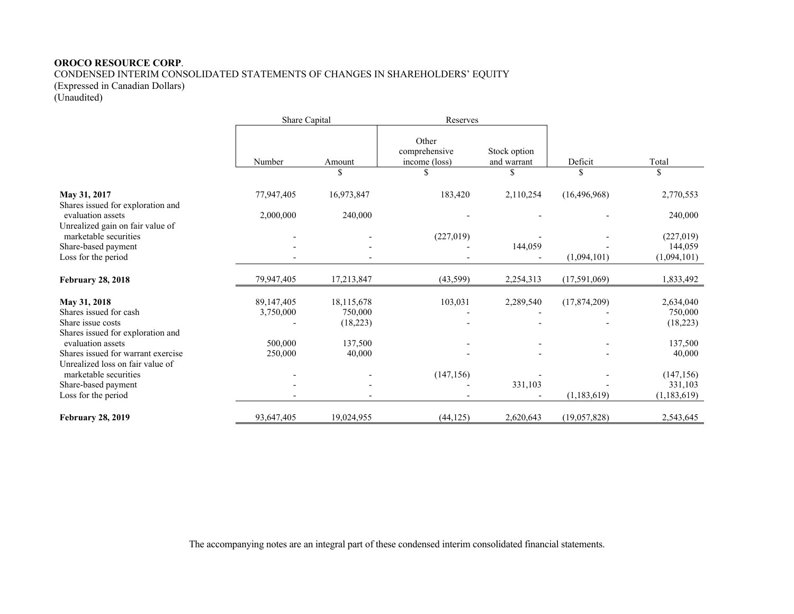### **OROCO RESOURCE CORP**.

CONDENSED INTERIM CONSOLIDATED STATEMENTS OF CHANGES IN SHAREHOLDERS' EQUITY

(Expressed in Canadian Dollars)

(Unaudited)

|                                                           | Share Capital |            | Reserves                                |                             |                |                       |
|-----------------------------------------------------------|---------------|------------|-----------------------------------------|-----------------------------|----------------|-----------------------|
|                                                           | Number        | Amount     | Other<br>comprehensive<br>income (loss) | Stock option<br>and warrant | Deficit        | Total                 |
|                                                           |               | \$         | \$                                      | \$                          | \$             | \$                    |
| May 31, 2017<br>Shares issued for exploration and         | 77,947,405    | 16,973,847 | 183,420                                 | 2,110,254                   | (16, 496, 968) | 2,770,553             |
| evaluation assets                                         | 2,000,000     | 240,000    |                                         |                             |                | 240,000               |
| Unrealized gain on fair value of<br>marketable securities |               |            | (227,019)                               | 144,059                     |                | (227, 019)<br>144,059 |
| Share-based payment<br>Loss for the period                |               |            |                                         |                             | (1,094,101)    | (1,094,101)           |
| <b>February 28, 2018</b>                                  | 79,947,405    | 17,213,847 | (43,599)                                | 2,254,313                   | (17,591,069)   | 1,833,492             |
| May 31, 2018                                              | 89,147,405    | 18,115,678 | 103,031                                 | 2,289,540                   | (17,874,209)   | 2,634,040             |
| Shares issued for cash                                    | 3,750,000     | 750,000    |                                         |                             |                | 750,000               |
| Share issue costs                                         |               | (18, 223)  |                                         |                             |                | (18, 223)             |
| Shares issued for exploration and<br>evaluation assets    | 500,000       | 137,500    |                                         |                             |                | 137,500               |
| Shares issued for warrant exercise                        | 250,000       | 40,000     |                                         |                             |                | 40,000                |
| Unrealized loss on fair value of<br>marketable securities |               |            | (147, 156)                              |                             |                | (147, 156)            |
| Share-based payment                                       |               |            |                                         | 331,103                     |                | 331,103               |
| Loss for the period                                       |               |            |                                         |                             | (1, 183, 619)  | (1,183,619)           |
| <b>February 28, 2019</b>                                  | 93,647,405    | 19,024,955 | (44, 125)                               | 2,620,643                   | (19,057,828)   | 2,543,645             |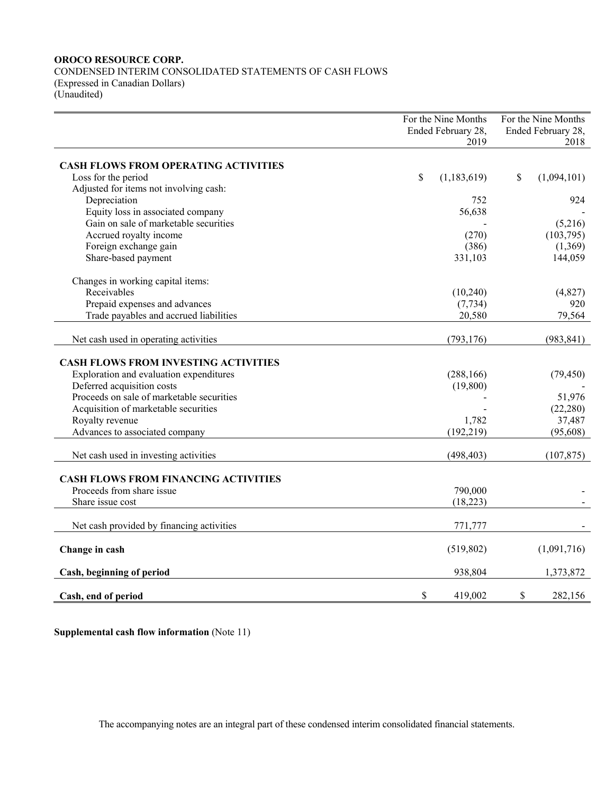# **OROCO RESOURCE CORP.**

CONDENSED INTERIM CONSOLIDATED STATEMENTS OF CASH FLOWS (Expressed in Canadian Dollars) (Unaudited)

|                                             | For the Nine Months<br>Ended February 28, | For the Nine Months<br>Ended February 28, |  |  |
|---------------------------------------------|-------------------------------------------|-------------------------------------------|--|--|
|                                             | 2019                                      | 2018                                      |  |  |
|                                             |                                           |                                           |  |  |
| <b>CASH FLOWS FROM OPERATING ACTIVITIES</b> |                                           |                                           |  |  |
| Loss for the period                         | \$<br>(1,183,619)                         | \$<br>(1,094,101)                         |  |  |
| Adjusted for items not involving cash:      |                                           |                                           |  |  |
| Depreciation                                | 752                                       | 924                                       |  |  |
| Equity loss in associated company           | 56,638                                    |                                           |  |  |
| Gain on sale of marketable securities       |                                           | (5,216)                                   |  |  |
| Accrued royalty income                      | (270)                                     | (103,795)                                 |  |  |
| Foreign exchange gain                       | (386)                                     | (1,369)                                   |  |  |
| Share-based payment                         | 331,103                                   | 144,059                                   |  |  |
| Changes in working capital items:           |                                           |                                           |  |  |
| Receivables                                 | (10,240)                                  | (4,827)                                   |  |  |
| Prepaid expenses and advances               | (7, 734)                                  | 920                                       |  |  |
| Trade payables and accrued liabilities      | 20,580                                    | 79,564                                    |  |  |
|                                             |                                           |                                           |  |  |
| Net cash used in operating activities       | (793, 176)                                | (983, 841)                                |  |  |
| <b>CASH FLOWS FROM INVESTING ACTIVITIES</b> |                                           |                                           |  |  |
| Exploration and evaluation expenditures     | (288, 166)                                | (79, 450)                                 |  |  |
| Deferred acquisition costs                  | (19, 800)                                 |                                           |  |  |
| Proceeds on sale of marketable securities   |                                           | 51,976                                    |  |  |
| Acquisition of marketable securities        |                                           | (22, 280)                                 |  |  |
| Royalty revenue                             | 1,782                                     | 37,487                                    |  |  |
| Advances to associated company              | (192, 219)                                | (95, 608)                                 |  |  |
|                                             |                                           |                                           |  |  |
| Net cash used in investing activities       | (498, 403)                                | (107, 875)                                |  |  |
| <b>CASH FLOWS FROM FINANCING ACTIVITIES</b> |                                           |                                           |  |  |
| Proceeds from share issue                   | 790,000                                   |                                           |  |  |
| Share issue cost                            | (18, 223)                                 |                                           |  |  |
|                                             |                                           |                                           |  |  |
| Net cash provided by financing activities   | 771,777                                   |                                           |  |  |
| Change in cash                              | (519, 802)                                | (1,091,716)                               |  |  |
| Cash, beginning of period                   | 938,804                                   | 1,373,872                                 |  |  |
| Cash, end of period                         | \$<br>419,002                             | \$<br>282,156                             |  |  |

**Supplemental cash flow information** (Note 11)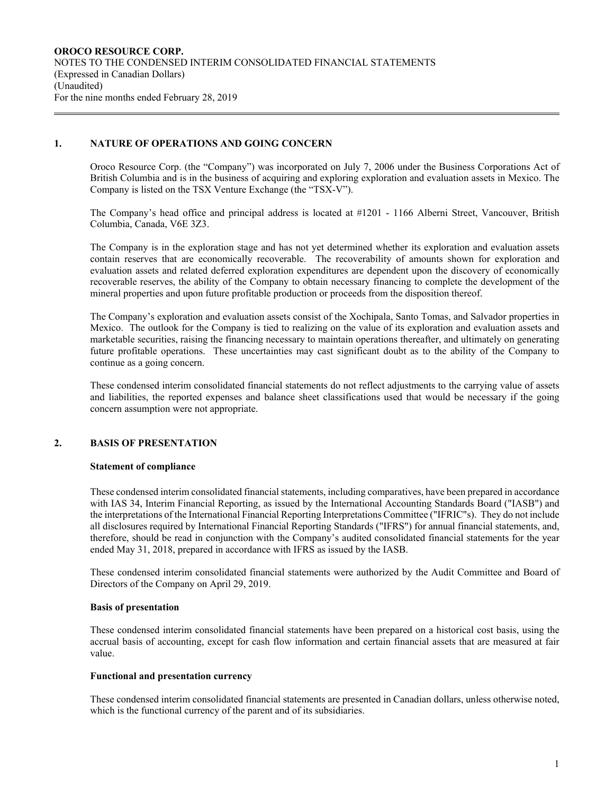# **1. NATURE OF OPERATIONS AND GOING CONCERN**

Oroco Resource Corp. (the "Company") was incorporated on July 7, 2006 under the Business Corporations Act of British Columbia and is in the business of acquiring and exploring exploration and evaluation assets in Mexico. The Company is listed on the TSX Venture Exchange (the "TSX-V").

The Company's head office and principal address is located at #1201 - 1166 Alberni Street, Vancouver, British Columbia, Canada, V6E 3Z3.

The Company is in the exploration stage and has not yet determined whether its exploration and evaluation assets contain reserves that are economically recoverable. The recoverability of amounts shown for exploration and evaluation assets and related deferred exploration expenditures are dependent upon the discovery of economically recoverable reserves, the ability of the Company to obtain necessary financing to complete the development of the mineral properties and upon future profitable production or proceeds from the disposition thereof.

The Company's exploration and evaluation assets consist of the Xochipala, Santo Tomas, and Salvador properties in Mexico. The outlook for the Company is tied to realizing on the value of its exploration and evaluation assets and marketable securities, raising the financing necessary to maintain operations thereafter, and ultimately on generating future profitable operations. These uncertainties may cast significant doubt as to the ability of the Company to continue as a going concern.

These condensed interim consolidated financial statements do not reflect adjustments to the carrying value of assets and liabilities, the reported expenses and balance sheet classifications used that would be necessary if the going concern assumption were not appropriate.

# **2. BASIS OF PRESENTATION**

# **Statement of compliance**

These condensed interim consolidated financial statements, including comparatives, have been prepared in accordance with IAS 34, Interim Financial Reporting, as issued by the International Accounting Standards Board ("IASB") and the interpretations of the International Financial Reporting Interpretations Committee ("IFRIC"s). They do not include all disclosures required by International Financial Reporting Standards ("IFRS") for annual financial statements, and, therefore, should be read in conjunction with the Company's audited consolidated financial statements for the year ended May 31, 2018, prepared in accordance with IFRS as issued by the IASB.

These condensed interim consolidated financial statements were authorized by the Audit Committee and Board of Directors of the Company on April 29, 2019.

### **Basis of presentation**

These condensed interim consolidated financial statements have been prepared on a historical cost basis, using the accrual basis of accounting, except for cash flow information and certain financial assets that are measured at fair value.

# **Functional and presentation currency**

These condensed interim consolidated financial statements are presented in Canadian dollars, unless otherwise noted, which is the functional currency of the parent and of its subsidiaries.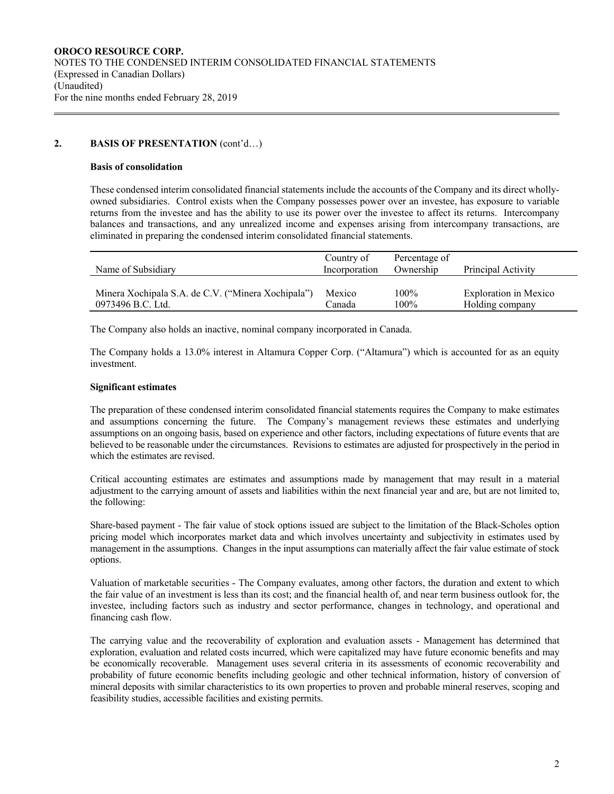# 2. **BASIS OF PRESENTATION** (cont'd...)

### **Basis of consolidation**

These condensed interim consolidated financial statements include the accounts of the Company and its direct whollyowned subsidiaries. Control exists when the Company possesses power over an investee, has exposure to variable returns from the investee and has the ability to use its power over the investee to affect its returns. Intercompany balances and transactions, and any unrealized income and expenses arising from intercompany transactions, are eliminated in preparing the condensed interim consolidated financial statements.

| Name of Subsidiary                                 | Country of<br>Incorporation | Percentage of<br>Ownership | Principal Activity           |
|----------------------------------------------------|-----------------------------|----------------------------|------------------------------|
| Minera Xochipala S.A. de C.V. ("Minera Xochipala") | Mexico                      | $100\%$                    | <b>Exploration</b> in Mexico |
| 0973496 B.C. Ltd.                                  | Canada                      | $100\%$                    | Holding company              |

The Company also holds an inactive, nominal company incorporated in Canada.

The Company holds a 13.0% interest in Altamura Copper Corp. ("Altamura") which is accounted for as an equity investment.

# **Significant estimates**

The preparation of these condensed interim consolidated financial statements requires the Company to make estimates and assumptions concerning the future. The Company's management reviews these estimates and underlying assumptions on an ongoing basis, based on experience and other factors, including expectations of future events that are believed to be reasonable under the circumstances. Revisions to estimates are adjusted for prospectively in the period in which the estimates are revised.

Critical accounting estimates are estimates and assumptions made by management that may result in a material adjustment to the carrying amount of assets and liabilities within the next financial year and are, but are not limited to, the following:

Share-based payment - The fair value of stock options issued are subject to the limitation of the Black-Scholes option pricing model which incorporates market data and which involves uncertainty and subjectivity in estimates used by management in the assumptions. Changes in the input assumptions can materially affect the fair value estimate of stock options.

Valuation of marketable securities - The Company evaluates, among other factors, the duration and extent to which the fair value of an investment is less than its cost; and the financial health of, and near term business outlook for, the investee, including factors such as industry and sector performance, changes in technology, and operational and financing cash flow.

The carrying value and the recoverability of exploration and evaluation assets - Management has determined that exploration, evaluation and related costs incurred, which were capitalized may have future economic benefits and may be economically recoverable. Management uses several criteria in its assessments of economic recoverability and probability of future economic benefits including geologic and other technical information, history of conversion of mineral deposits with similar characteristics to its own properties to proven and probable mineral reserves, scoping and feasibility studies, accessible facilities and existing permits.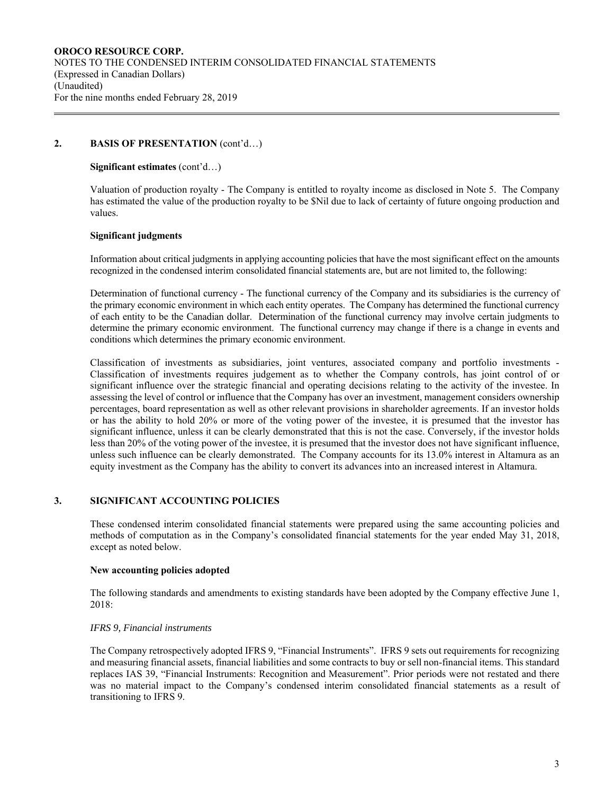### 2. **BASIS OF PRESENTATION** (cont'd...)

#### **Significant estimates** (cont'd…)

Valuation of production royalty - The Company is entitled to royalty income as disclosed in Note 5. The Company has estimated the value of the production royalty to be \$Nil due to lack of certainty of future ongoing production and values.

#### **Significant judgments**

Information about critical judgments in applying accounting policies that have the most significant effect on the amounts recognized in the condensed interim consolidated financial statements are, but are not limited to, the following:

Determination of functional currency - The functional currency of the Company and its subsidiaries is the currency of the primary economic environment in which each entity operates. The Company has determined the functional currency of each entity to be the Canadian dollar. Determination of the functional currency may involve certain judgments to determine the primary economic environment. The functional currency may change if there is a change in events and conditions which determines the primary economic environment.

Classification of investments as subsidiaries, joint ventures, associated company and portfolio investments - Classification of investments requires judgement as to whether the Company controls, has joint control of or significant influence over the strategic financial and operating decisions relating to the activity of the investee. In assessing the level of control or influence that the Company has over an investment, management considers ownership percentages, board representation as well as other relevant provisions in shareholder agreements. If an investor holds or has the ability to hold 20% or more of the voting power of the investee, it is presumed that the investor has significant influence, unless it can be clearly demonstrated that this is not the case. Conversely, if the investor holds less than 20% of the voting power of the investee, it is presumed that the investor does not have significant influence, unless such influence can be clearly demonstrated. The Company accounts for its 13.0% interest in Altamura as an equity investment as the Company has the ability to convert its advances into an increased interest in Altamura.

### **3. SIGNIFICANT ACCOUNTING POLICIES**

These condensed interim consolidated financial statements were prepared using the same accounting policies and methods of computation as in the Company's consolidated financial statements for the year ended May 31, 2018, except as noted below.

### **New accounting policies adopted**

The following standards and amendments to existing standards have been adopted by the Company effective June 1, 2018:

### *IFRS 9, Financial instruments*

The Company retrospectively adopted IFRS 9, "Financial Instruments". IFRS 9 sets out requirements for recognizing and measuring financial assets, financial liabilities and some contracts to buy or sell non-financial items. This standard replaces IAS 39, "Financial Instruments: Recognition and Measurement". Prior periods were not restated and there was no material impact to the Company's condensed interim consolidated financial statements as a result of transitioning to IFRS 9.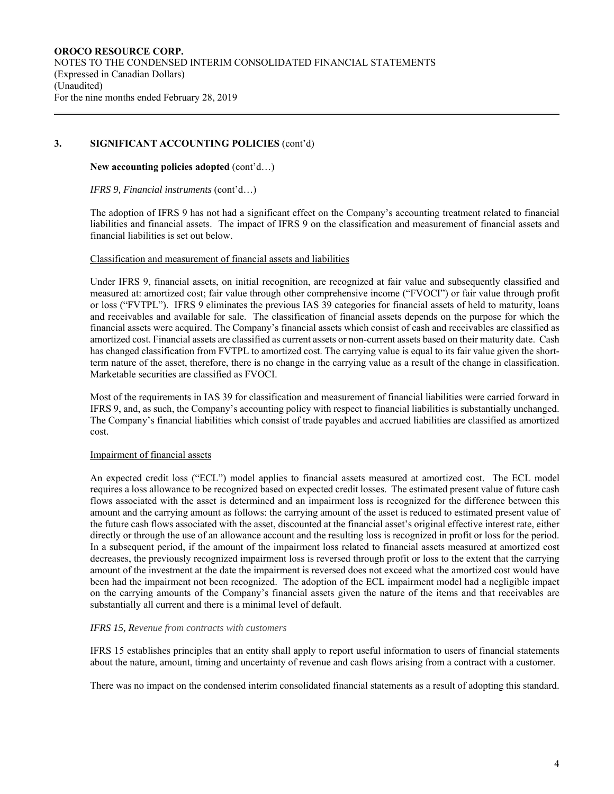# **3. SIGNIFICANT ACCOUNTING POLICIES** (cont'd)

**New accounting policies adopted** (cont'd…)

*IFRS 9, Financial instruments* (cont'd…)

The adoption of IFRS 9 has not had a significant effect on the Company's accounting treatment related to financial liabilities and financial assets. The impact of IFRS 9 on the classification and measurement of financial assets and financial liabilities is set out below.

### Classification and measurement of financial assets and liabilities

Under IFRS 9, financial assets, on initial recognition, are recognized at fair value and subsequently classified and measured at: amortized cost; fair value through other comprehensive income ("FVOCI") or fair value through profit or loss ("FVTPL"). IFRS 9 eliminates the previous IAS 39 categories for financial assets of held to maturity, loans and receivables and available for sale. The classification of financial assets depends on the purpose for which the financial assets were acquired. The Company's financial assets which consist of cash and receivables are classified as amortized cost. Financial assets are classified as current assets or non-current assets based on their maturity date. Cash has changed classification from FVTPL to amortized cost. The carrying value is equal to its fair value given the shortterm nature of the asset, therefore, there is no change in the carrying value as a result of the change in classification. Marketable securities are classified as FVOCI.

Most of the requirements in IAS 39 for classification and measurement of financial liabilities were carried forward in IFRS 9, and, as such, the Company's accounting policy with respect to financial liabilities is substantially unchanged. The Company's financial liabilities which consist of trade payables and accrued liabilities are classified as amortized cost.

# Impairment of financial assets

An expected credit loss ("ECL") model applies to financial assets measured at amortized cost. The ECL model requires a loss allowance to be recognized based on expected credit losses. The estimated present value of future cash flows associated with the asset is determined and an impairment loss is recognized for the difference between this amount and the carrying amount as follows: the carrying amount of the asset is reduced to estimated present value of the future cash flows associated with the asset, discounted at the financial asset's original effective interest rate, either directly or through the use of an allowance account and the resulting loss is recognized in profit or loss for the period. In a subsequent period, if the amount of the impairment loss related to financial assets measured at amortized cost decreases, the previously recognized impairment loss is reversed through profit or loss to the extent that the carrying amount of the investment at the date the impairment is reversed does not exceed what the amortized cost would have been had the impairment not been recognized. The adoption of the ECL impairment model had a negligible impact on the carrying amounts of the Company's financial assets given the nature of the items and that receivables are substantially all current and there is a minimal level of default.

### *IFRS 15, Revenue from contracts with customers*

IFRS 15 establishes principles that an entity shall apply to report useful information to users of financial statements about the nature, amount, timing and uncertainty of revenue and cash flows arising from a contract with a customer.

There was no impact on the condensed interim consolidated financial statements as a result of adopting this standard.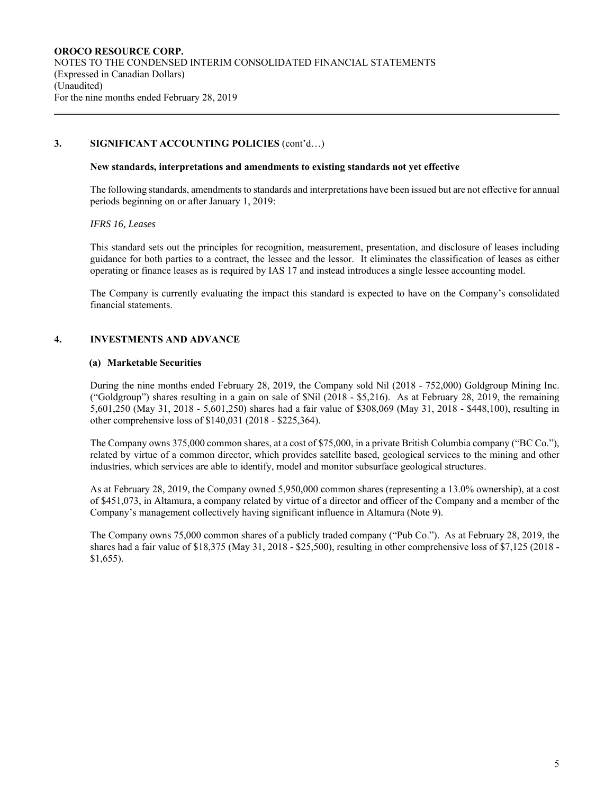# **3. SIGNIFICANT ACCOUNTING POLICIES** (cont'd…)

### **New standards, interpretations and amendments to existing standards not yet effective**

The following standards, amendments to standards and interpretations have been issued but are not effective for annual periods beginning on or after January 1, 2019:

### *IFRS 16, Leases*

This standard sets out the principles for recognition, measurement, presentation, and disclosure of leases including guidance for both parties to a contract, the lessee and the lessor. It eliminates the classification of leases as either operating or finance leases as is required by IAS 17 and instead introduces a single lessee accounting model.

The Company is currently evaluating the impact this standard is expected to have on the Company's consolidated financial statements.

# **4. INVESTMENTS AND ADVANCE**

### **(a) Marketable Securities**

During the nine months ended February 28, 2019, the Company sold Nil (2018 - 752,000) Goldgroup Mining Inc. ("Goldgroup") shares resulting in a gain on sale of \$Nil (2018 - \$5,216). As at February 28, 2019, the remaining 5,601,250 (May 31, 2018 - 5,601,250) shares had a fair value of \$308,069 (May 31, 2018 - \$448,100), resulting in other comprehensive loss of \$140,031 (2018 - \$225,364).

The Company owns 375,000 common shares, at a cost of \$75,000, in a private British Columbia company ("BC Co."), related by virtue of a common director, which provides satellite based, geological services to the mining and other industries, which services are able to identify, model and monitor subsurface geological structures.

As at February 28, 2019, the Company owned 5,950,000 common shares (representing a 13.0% ownership), at a cost of \$451,073, in Altamura, a company related by virtue of a director and officer of the Company and a member of the Company's management collectively having significant influence in Altamura (Note 9).

The Company owns 75,000 common shares of a publicly traded company ("Pub Co."). As at February 28, 2019, the shares had a fair value of \$18,375 (May 31, 2018 - \$25,500), resulting in other comprehensive loss of \$7,125 (2018 - \$1,655).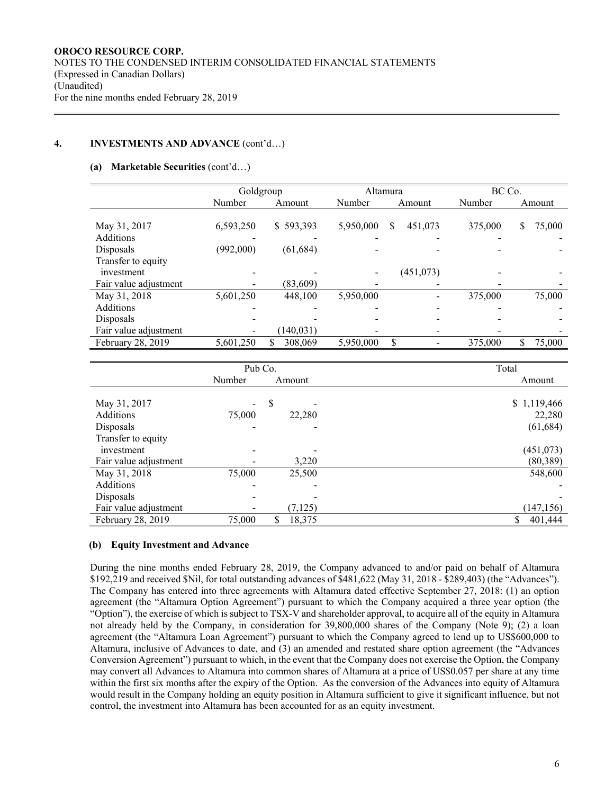# **4. INVESTMENTS AND ADVANCE** (cont'd…)

#### **(a) Marketable Securities** (cont'd…)

|                       | Goldgroup |               | Altamura  |              | BC Co.  |             |  |
|-----------------------|-----------|---------------|-----------|--------------|---------|-------------|--|
|                       | Number    | Amount        | Number    | Amount       | Number  | Amount      |  |
|                       |           |               |           |              |         |             |  |
| May 31, 2017          | 6,593,250 | \$593,393     | 5,950,000 | 451,073<br>S | 375,000 | S<br>75,000 |  |
| <b>Additions</b>      |           |               |           |              |         |             |  |
| Disposals             | (992,000) | (61, 684)     |           |              |         |             |  |
| Transfer to equity    |           |               |           |              |         |             |  |
| investment            |           |               |           | (451, 073)   |         |             |  |
| Fair value adjustment |           | (83,609)      |           |              |         |             |  |
| May 31, 2018          | 5,601,250 | 448,100       | 5,950,000 |              | 375,000 | 75,000      |  |
| <b>Additions</b>      |           |               |           |              |         |             |  |
| Disposals             |           |               |           |              |         |             |  |
| Fair value adjustment |           | (140, 031)    |           |              |         |             |  |
| February 28, 2019     | 5,601,250 | \$<br>308,069 | 5,950,000 | \$           | 375,000 | 75,000      |  |

|                       | Pub Co. |              | Total       |
|-----------------------|---------|--------------|-------------|
|                       | Number  | Amount       | Amount      |
|                       |         |              |             |
| May 31, 2017          | -       | \$           | \$1,119,466 |
| Additions             | 75,000  | 22,280       | 22,280      |
| Disposals             |         |              | (61, 684)   |
| Transfer to equity    |         |              |             |
| investment            |         |              | (451, 073)  |
| Fair value adjustment |         | 3,220        | (80, 389)   |
| May 31, 2018          | 75,000  | 25,500       | 548,600     |
| Additions             |         |              |             |
| Disposals             |         |              |             |
| Fair value adjustment |         | (7, 125)     | (147, 156)  |
| February 28, 2019     | 75,000  | \$<br>18,375 | 401,444     |

### **(b) Equity Investment and Advance**

During the nine months ended February 28, 2019, the Company advanced to and/or paid on behalf of Altamura \$192,219 and received \$Nil, for total outstanding advances of \$481,622 (May 31, 2018 - \$289,403) (the "Advances"). The Company has entered into three agreements with Altamura dated effective September 27, 2018: (1) an option agreement (the "Altamura Option Agreement") pursuant to which the Company acquired a three year option (the "Option"), the exercise of which is subject to TSX-V and shareholder approval, to acquire all of the equity in Altamura not already held by the Company, in consideration for 39,800,000 shares of the Company (Note 9); (2) a loan agreement (the "Altamura Loan Agreement") pursuant to which the Company agreed to lend up to US\$600,000 to Altamura, inclusive of Advances to date, and (3) an amended and restated share option agreement (the "Advances Conversion Agreement") pursuant to which, in the event that the Company does not exercise the Option, the Company may convert all Advances to Altamura into common shares of Altamura at a price of US\$0.057 per share at any time within the first six months after the expiry of the Option. As the conversion of the Advances into equity of Altamura would result in the Company holding an equity position in Altamura sufficient to give it significant influence, but not control, the investment into Altamura has been accounted for as an equity investment.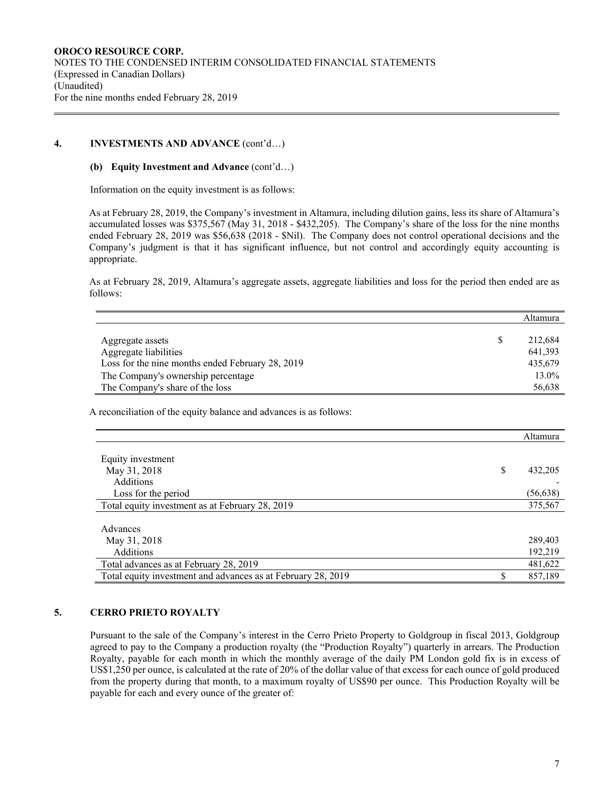# **4. INVESTMENTS AND ADVANCE** (cont'd…)

### **(b) Equity Investment and Advance** (cont'd…)

Information on the equity investment is as follows:

As at February 28, 2019, the Company's investment in Altamura, including dilution gains, less its share of Altamura's accumulated losses was \$375,567 (May 31, 2018 - \$432,205). The Company's share of the loss for the nine months ended February 28, 2019 was \$56,638 (2018 - \$Nil). The Company does not control operational decisions and the Company's judgment is that it has significant influence, but not control and accordingly equity accounting is appropriate.

As at February 28, 2019, Altamura's aggregate assets, aggregate liabilities and loss for the period then ended are as follows:

|                                                                    | Altamura      |
|--------------------------------------------------------------------|---------------|
|                                                                    | \$<br>212,684 |
| Aggregate assets                                                   |               |
| Aggregate liabilities                                              | 641,393       |
| Loss for the nine months ended February 28, 2019                   | 435,679       |
| The Company's ownership percentage                                 | 13.0%         |
| The Company's share of the loss                                    | 56,638        |
| A reconciliation of the equity balance and advances is as follows: |               |
|                                                                    | Altamura      |
| Equity investment                                                  |               |
| May 31, 2018                                                       | \$<br>432,205 |
| Additions                                                          |               |
| Loss for the period                                                | (56, 638)     |
| Total equity investment as at February 28, 2019                    | 375,567       |
| Advances                                                           |               |
| May 31, 2018                                                       | 289,403       |
| Additions                                                          | 192,219       |
| Total advances as at February 28, 2019                             | 481,622       |
| Total equity investment and advances as at February 28, 2019       | \$<br>857,189 |

# **5. CERRO PRIETO ROYALTY**

Pursuant to the sale of the Company's interest in the Cerro Prieto Property to Goldgroup in fiscal 2013, Goldgroup agreed to pay to the Company a production royalty (the "Production Royalty") quarterly in arrears. The Production Royalty, payable for each month in which the monthly average of the daily PM London gold fix is in excess of US\$1,250 per ounce, is calculated at the rate of 20% of the dollar value of that excess for each ounce of gold produced from the property during that month, to a maximum royalty of US\$90 per ounce. This Production Royalty will be payable for each and every ounce of the greater of: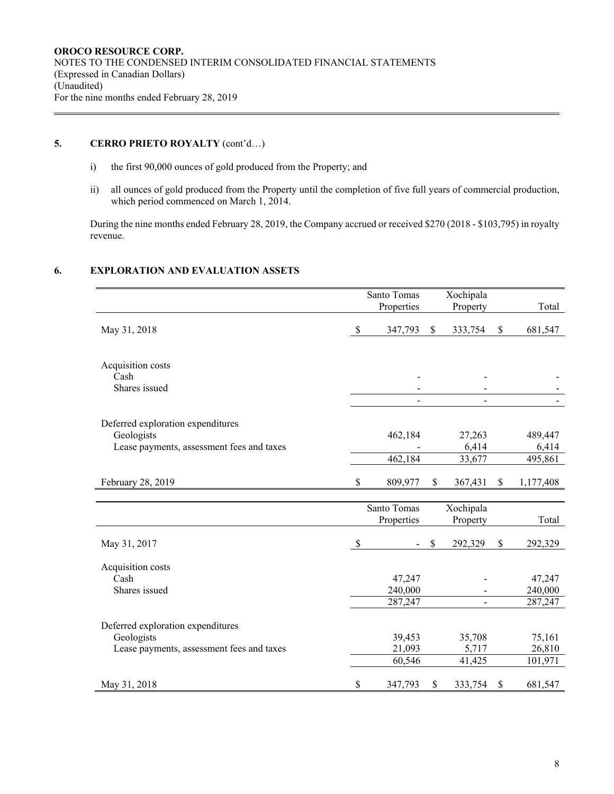# **5.** CERRO PRIETO ROYALTY (cont'd...)

- i) the first 90,000 ounces of gold produced from the Property; and
- ii) all ounces of gold produced from the Property until the completion of five full years of commercial production, which period commenced on March 1, 2014.

During the nine months ended February 28, 2019, the Company accrued or received \$270 (2018 - \$103,795) in royalty revenue.

# **6. EXPLORATION AND EVALUATION ASSETS**

|                                                                                              |               | Santo Tomas                  | Xochipala             |                              |
|----------------------------------------------------------------------------------------------|---------------|------------------------------|-----------------------|------------------------------|
|                                                                                              |               | Properties                   | Property              | Total                        |
| May 31, 2018                                                                                 | $\mathbb{S}$  | 347,793                      | \$<br>333,754         | \$<br>681,547                |
| Acquisition costs<br>Cash<br>Shares issued                                                   |               |                              | $\blacksquare$        |                              |
| Deferred exploration expenditures<br>Geologists<br>Lease payments, assessment fees and taxes |               | 462,184                      | 27,263<br>6,414       | 489,447<br>6,414             |
|                                                                                              |               | 462,184                      | 33,677                | 495,861                      |
| February 28, 2019                                                                            | \$            | 809,977                      | \$<br>367,431         | \$<br>1,177,408              |
|                                                                                              |               |                              |                       |                              |
|                                                                                              |               | Santo Tomas<br>Properties    | Xochipala<br>Property | Total                        |
| May 31, 2017                                                                                 | $\mathcal{S}$ |                              | \$<br>292,329         | \$<br>292,329                |
| Acquisition costs<br>Cash<br>Shares issued                                                   |               | 47,247<br>240,000<br>287,247 |                       | 47,247<br>240,000<br>287,247 |
| Deferred exploration expenditures                                                            |               |                              |                       |                              |
| Geologists                                                                                   |               | 39,453                       | 35,708                | 75,161                       |
| Lease payments, assessment fees and taxes                                                    |               | 21,093                       | 5,717                 | 26,810                       |
|                                                                                              |               | 60,546                       | 41,425                | 101,971                      |
| May 31, 2018                                                                                 | \$            | 347,793                      | \$<br>333,754         | \$<br>681,547                |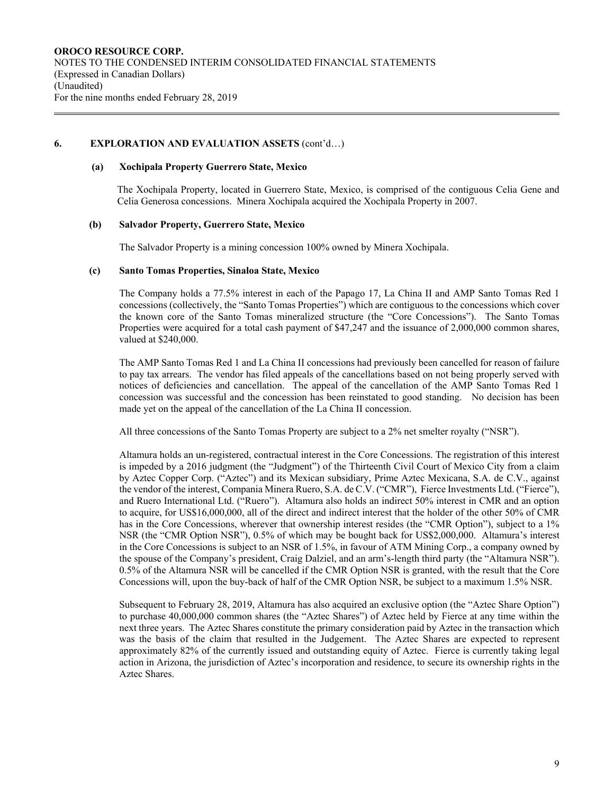### **6. EXPLORATION AND EVALUATION ASSETS** (cont'd…)

#### **(a) Xochipala Property Guerrero State, Mexico**

The Xochipala Property, located in Guerrero State, Mexico, is comprised of the contiguous Celia Gene and Celia Generosa concessions. Minera Xochipala acquired the Xochipala Property in 2007.

### **(b) Salvador Property, Guerrero State, Mexico**

The Salvador Property is a mining concession 100% owned by Minera Xochipala.

### **(c) Santo Tomas Properties, Sinaloa State, Mexico**

The Company holds a 77.5% interest in each of the Papago 17, La China II and AMP Santo Tomas Red 1 concessions (collectively, the "Santo Tomas Properties") which are contiguous to the concessions which cover the known core of the Santo Tomas mineralized structure (the "Core Concessions"). The Santo Tomas Properties were acquired for a total cash payment of \$47,247 and the issuance of 2,000,000 common shares, valued at \$240,000.

The AMP Santo Tomas Red 1 and La China II concessions had previously been cancelled for reason of failure to pay tax arrears. The vendor has filed appeals of the cancellations based on not being properly served with notices of deficiencies and cancellation. The appeal of the cancellation of the AMP Santo Tomas Red 1 concession was successful and the concession has been reinstated to good standing. No decision has been made yet on the appeal of the cancellation of the La China II concession.

All three concessions of the Santo Tomas Property are subject to a 2% net smelter royalty ("NSR").

Altamura holds an un-registered, contractual interest in the Core Concessions. The registration of this interest is impeded by a 2016 judgment (the "Judgment") of the Thirteenth Civil Court of Mexico City from a claim by Aztec Copper Corp. ("Aztec") and its Mexican subsidiary, Prime Aztec Mexicana, S.A. de C.V., against the vendor of the interest, Compania Minera Ruero, S.A. de C.V. ("CMR"), Fierce Investments Ltd. ("Fierce"), and Ruero International Ltd. ("Ruero"). Altamura also holds an indirect 50% interest in CMR and an option to acquire, for US\$16,000,000, all of the direct and indirect interest that the holder of the other 50% of CMR has in the Core Concessions, wherever that ownership interest resides (the "CMR Option"), subject to a 1% NSR (the "CMR Option NSR"), 0.5% of which may be bought back for US\$2,000,000. Altamura's interest in the Core Concessions is subject to an NSR of 1.5%, in favour of ATM Mining Corp., a company owned by the spouse of the Company's president, Craig Dalziel, and an arm's-length third party (the "Altamura NSR"). 0.5% of the Altamura NSR will be cancelled if the CMR Option NSR is granted, with the result that the Core Concessions will, upon the buy-back of half of the CMR Option NSR, be subject to a maximum 1.5% NSR.

Subsequent to February 28, 2019, Altamura has also acquired an exclusive option (the "Aztec Share Option") to purchase 40,000,000 common shares (the "Aztec Shares") of Aztec held by Fierce at any time within the next three years. The Aztec Shares constitute the primary consideration paid by Aztec in the transaction which was the basis of the claim that resulted in the Judgement. The Aztec Shares are expected to represent approximately 82% of the currently issued and outstanding equity of Aztec. Fierce is currently taking legal action in Arizona, the jurisdiction of Aztec's incorporation and residence, to secure its ownership rights in the Aztec Shares.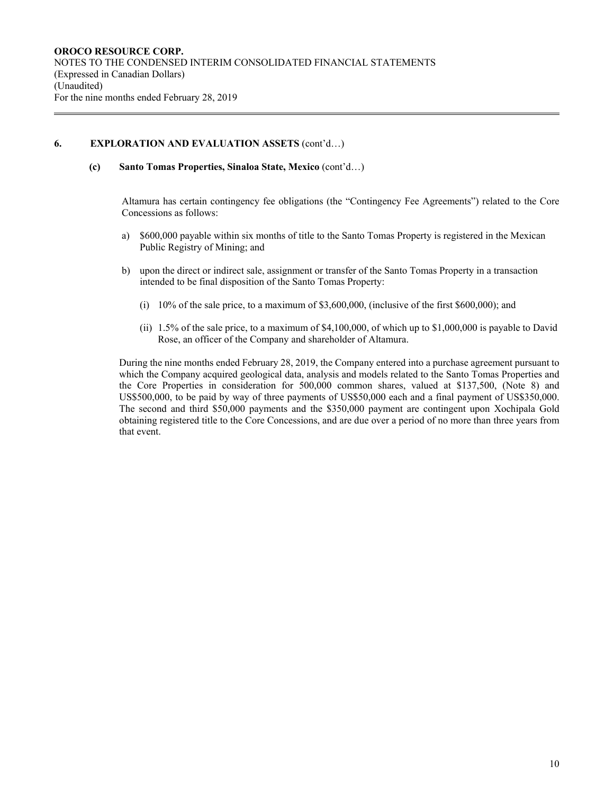# **6. EXPLORATION AND EVALUATION ASSETS** (cont'd…)

**(c) Santo Tomas Properties, Sinaloa State, Mexico** (cont'd…)

Altamura has certain contingency fee obligations (the "Contingency Fee Agreements") related to the Core Concessions as follows:

- a) \$600,000 payable within six months of title to the Santo Tomas Property is registered in the Mexican Public Registry of Mining; and
- b) upon the direct or indirect sale, assignment or transfer of the Santo Tomas Property in a transaction intended to be final disposition of the Santo Tomas Property:
	- (i) 10% of the sale price, to a maximum of \$3,600,000, (inclusive of the first \$600,000); and
	- (ii) 1.5% of the sale price, to a maximum of \$4,100,000, of which up to \$1,000,000 is payable to David Rose, an officer of the Company and shareholder of Altamura.

During the nine months ended February 28, 2019, the Company entered into a purchase agreement pursuant to which the Company acquired geological data, analysis and models related to the Santo Tomas Properties and the Core Properties in consideration for 500,000 common shares, valued at \$137,500, (Note 8) and US\$500,000, to be paid by way of three payments of US\$50,000 each and a final payment of US\$350,000. The second and third \$50,000 payments and the \$350,000 payment are contingent upon Xochipala Gold obtaining registered title to the Core Concessions, and are due over a period of no more than three years from that event.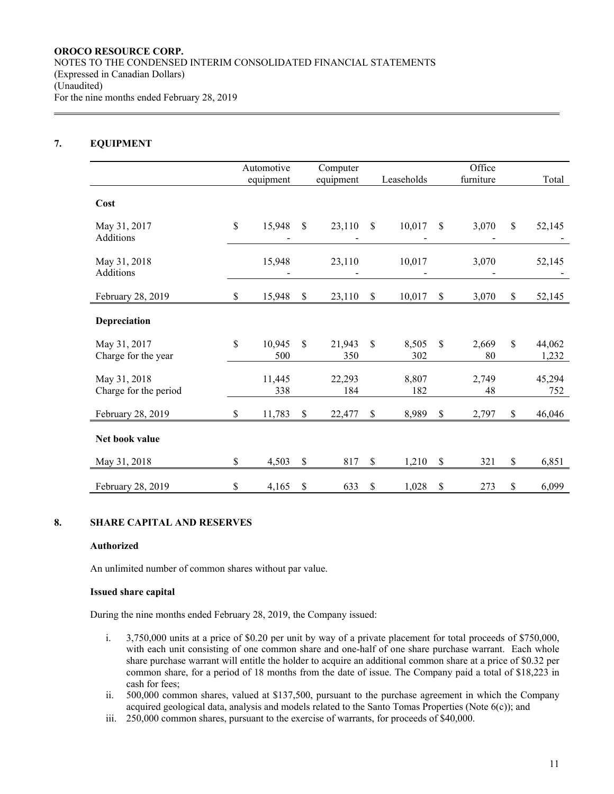# **7. EQUIPMENT**

|                                       | Automotive          |              | Computer      |              |              |               | Office      |                       |
|---------------------------------------|---------------------|--------------|---------------|--------------|--------------|---------------|-------------|-----------------------|
|                                       | equipment           |              | equipment     |              | Leaseholds   |               | furniture   | Total                 |
| Cost                                  |                     |              |               |              |              |               |             |                       |
| May 31, 2017<br>Additions             | \$<br>15,948        | $\mathbb{S}$ | 23,110        | $\mathbb{S}$ | 10,017       | \$            | 3,070       | \$<br>52,145          |
| May 31, 2018<br>Additions             | 15,948              |              | 23,110        |              | 10,017       |               | 3,070       | 52,145                |
| February 28, 2019                     | \$<br>15,948        | \$           | 23,110        | \$           | 10,017       | $\mathcal{S}$ | 3,070       | \$<br>52,145          |
| Depreciation                          |                     |              |               |              |              |               |             |                       |
| May 31, 2017<br>Charge for the year   | \$<br>10,945<br>500 | \$           | 21,943<br>350 | \$           | 8,505<br>302 | \$            | 2,669<br>80 | \$<br>44,062<br>1,232 |
| May 31, 2018<br>Charge for the period | 11,445<br>338       |              | 22,293<br>184 |              | 8,807<br>182 |               | 2,749<br>48 | 45,294<br>752         |
| February 28, 2019                     | \$<br>11,783        | $\mathbb{S}$ | 22,477        | $\mathbb S$  | 8,989        | \$            | 2,797       | \$<br>46,046          |
| Net book value                        |                     |              |               |              |              |               |             |                       |
| May 31, 2018                          | \$<br>4,503         | $\mathbb{S}$ | 817           | \$           | 1,210        | \$            | 321         | \$<br>6,851           |
| February 28, 2019                     | \$<br>4,165         | \$           | 633           | \$           | 1,028        | \$            | 273         | \$<br>6,099           |

### **8. SHARE CAPITAL AND RESERVES**

#### **Authorized**

An unlimited number of common shares without par value.

#### **Issued share capital**

During the nine months ended February 28, 2019, the Company issued:

- i. 3,750,000 units at a price of \$0.20 per unit by way of a private placement for total proceeds of \$750,000, with each unit consisting of one common share and one-half of one share purchase warrant. Each whole share purchase warrant will entitle the holder to acquire an additional common share at a price of \$0.32 per common share, for a period of 18 months from the date of issue. The Company paid a total of \$18,223 in cash for fees;
- ii. 500,000 common shares, valued at \$137,500, pursuant to the purchase agreement in which the Company acquired geological data, analysis and models related to the Santo Tomas Properties (Note 6(c)); and
- iii. 250,000 common shares, pursuant to the exercise of warrants, for proceeds of \$40,000.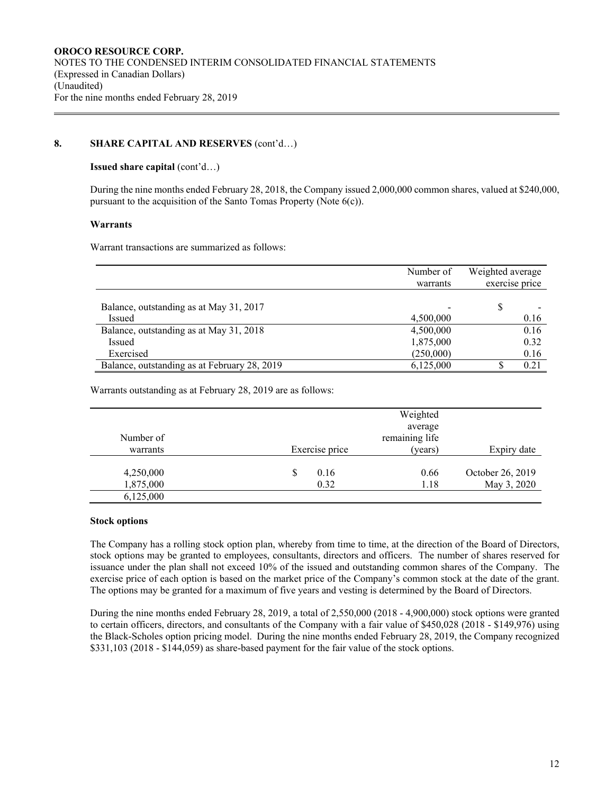# **8. SHARE CAPITAL AND RESERVES** (cont'd…)

### **Issued share capital** (cont'd…)

During the nine months ended February 28, 2018, the Company issued 2,000,000 common shares, valued at \$240,000, pursuant to the acquisition of the Santo Tomas Property (Note 6(c)).

### **Warrants**

Warrant transactions are summarized as follows:

|                                              | Number of | Weighted average |
|----------------------------------------------|-----------|------------------|
|                                              | warrants  | exercise price   |
|                                              |           |                  |
| Balance, outstanding as at May 31, 2017      |           |                  |
| Issued                                       | 4,500,000 | 0.16             |
| Balance, outstanding as at May 31, 2018      | 4,500,000 | 0.16             |
| Issued                                       | 1,875,000 | 0.32             |
| Exercised                                    | (250,000) | 0.16             |
| Balance, outstanding as at February 28, 2019 | 6,125,000 | 0.21             |

Warrants outstanding as at February 28, 2019 are as follows:

| Number of              |                   | Weighted<br>average<br>remaining life |                                 |
|------------------------|-------------------|---------------------------------------|---------------------------------|
| warrants               | Exercise price    | (years)                               | Expiry date                     |
| 4,250,000<br>1,875,000 | S<br>0.16<br>0.32 | 0.66<br>1.18                          | October 26, 2019<br>May 3, 2020 |
| 6,125,000              |                   |                                       |                                 |

### **Stock options**

The Company has a rolling stock option plan, whereby from time to time, at the direction of the Board of Directors, stock options may be granted to employees, consultants, directors and officers. The number of shares reserved for issuance under the plan shall not exceed 10% of the issued and outstanding common shares of the Company. The exercise price of each option is based on the market price of the Company's common stock at the date of the grant. The options may be granted for a maximum of five years and vesting is determined by the Board of Directors.

During the nine months ended February 28, 2019, a total of 2,550,000 (2018 - 4,900,000) stock options were granted to certain officers, directors, and consultants of the Company with a fair value of \$450,028 (2018 - \$149,976) using the Black-Scholes option pricing model. During the nine months ended February 28, 2019, the Company recognized \$331,103 (2018 - \$144,059) as share-based payment for the fair value of the stock options.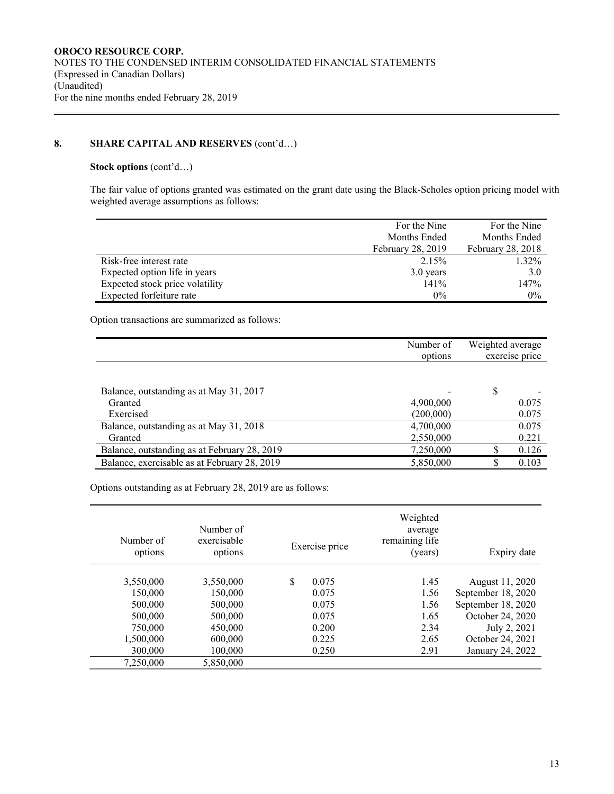# **8. SHARE CAPITAL AND RESERVES** (cont'd…)

### **Stock options** (cont'd…)

The fair value of options granted was estimated on the grant date using the Black-Scholes option pricing model with weighted average assumptions as follows:

|                                 | For the Nine             | For the Nine             |
|---------------------------------|--------------------------|--------------------------|
|                                 | Months Ended             | Months Ended             |
|                                 | <b>February 28, 2019</b> | <b>February 28, 2018</b> |
| Risk-free interest rate         | 2.15%                    | 1.32%                    |
| Expected option life in years   | 3.0 years                | 3.0                      |
| Expected stock price volatility | 141%                     | 147%                     |
| Expected forfeiture rate        | $0\%$                    | $0\%$                    |

Option transactions are summarized as follows:

|                                              | Number of | Weighted average |
|----------------------------------------------|-----------|------------------|
|                                              | options   | exercise price   |
|                                              |           |                  |
| Balance, outstanding as at May 31, 2017      |           | \$               |
| Granted                                      | 4,900,000 | 0.075            |
| Exercised                                    | (200,000) | 0.075            |
| Balance, outstanding as at May 31, 2018      | 4,700,000 | 0.075            |
| Granted                                      | 2,550,000 | 0.221            |
| Balance, outstanding as at February 28, 2019 | 7,250,000 | 0.126            |
| Balance, exercisable as at February 28, 2019 | 5,850,000 | 0.103            |

Options outstanding as at February 28, 2019 are as follows:

| Number of<br>options | Number of<br>exercisable<br>options | Exercise price | Weighted<br>average<br>remaining life<br>(years) | Expiry date        |
|----------------------|-------------------------------------|----------------|--------------------------------------------------|--------------------|
|                      |                                     |                |                                                  |                    |
| 3,550,000            | 3,550,000                           | \$<br>0.075    | 1.45                                             | August 11, 2020    |
| 150,000              | 150,000                             | 0.075          | 1.56                                             | September 18, 2020 |
| 500,000              | 500,000                             | 0.075          | 1.56                                             | September 18, 2020 |
| 500,000              | 500,000                             | 0.075          | 1.65                                             | October 24, 2020   |
| 750,000              | 450,000                             | 0.200          | 2.34                                             | July 2, 2021       |
| 1,500,000            | 600,000                             | 0.225          | 2.65                                             | October 24, 2021   |
| 300,000              | 100,000                             | 0.250          | 2.91                                             | January 24, 2022   |
| 7.250.000            | 5,850,000                           |                |                                                  |                    |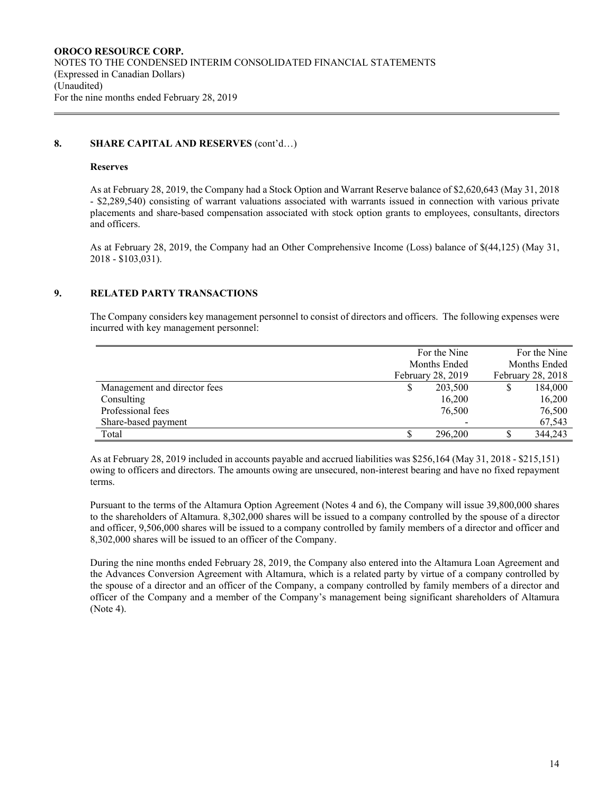# **8. SHARE CAPITAL AND RESERVES** (cont'd…)

#### **Reserves**

As at February 28, 2019, the Company had a Stock Option and Warrant Reserve balance of \$2,620,643 (May 31, 2018 - \$2,289,540) consisting of warrant valuations associated with warrants issued in connection with various private placements and share-based compensation associated with stock option grants to employees, consultants, directors and officers.

As at February 28, 2019, the Company had an Other Comprehensive Income (Loss) balance of \$(44,125) (May 31, 2018 - \$103,031).

### **9. RELATED PARTY TRANSACTIONS**

The Company considers key management personnel to consist of directors and officers. The following expenses were incurred with key management personnel:

|                              |                   | For the Nine      | For the Nine |         |  |
|------------------------------|-------------------|-------------------|--------------|---------|--|
|                              |                   | Months Ended      | Months Ended |         |  |
|                              | February 28, 2019 | February 28, 2018 |              |         |  |
| Management and director fees | S                 | 203,500           |              | 184,000 |  |
| Consulting                   |                   | 16,200            |              | 16,200  |  |
| Professional fees            |                   | 76,500            |              | 76,500  |  |
| Share-based payment          |                   |                   |              | 67,543  |  |
| Total                        |                   | 296,200           |              | 344,243 |  |

As at February 28, 2019 included in accounts payable and accrued liabilities was \$256,164 (May 31, 2018 - \$215,151) owing to officers and directors. The amounts owing are unsecured, non-interest bearing and have no fixed repayment terms.

Pursuant to the terms of the Altamura Option Agreement (Notes 4 and 6), the Company will issue 39,800,000 shares to the shareholders of Altamura. 8,302,000 shares will be issued to a company controlled by the spouse of a director and officer, 9,506,000 shares will be issued to a company controlled by family members of a director and officer and 8,302,000 shares will be issued to an officer of the Company.

During the nine months ended February 28, 2019, the Company also entered into the Altamura Loan Agreement and the Advances Conversion Agreement with Altamura, which is a related party by virtue of a company controlled by the spouse of a director and an officer of the Company, a company controlled by family members of a director and officer of the Company and a member of the Company's management being significant shareholders of Altamura (Note 4).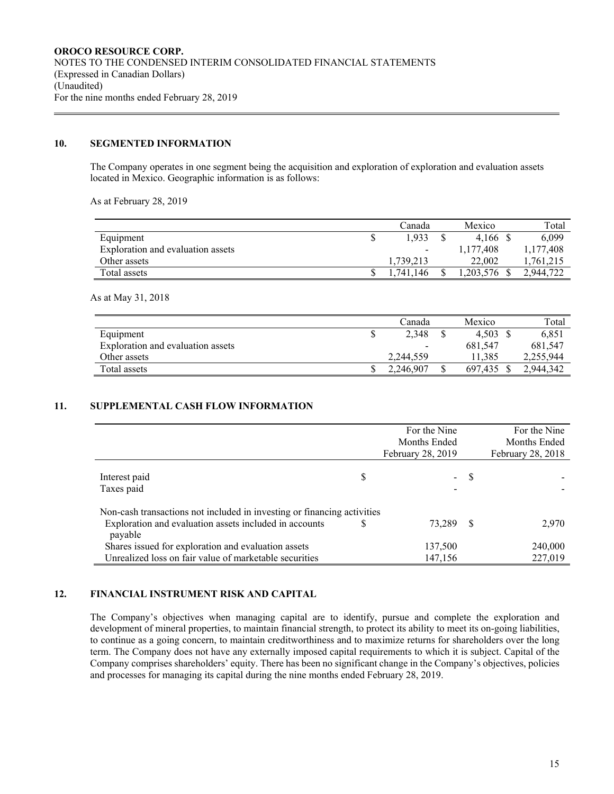# **10. SEGMENTED INFORMATION**

The Company operates in one segment being the acquisition and exploration of exploration and evaluation assets located in Mexico. Geographic information is as follows:

As at February 28, 2019

|                                   | Canada                   | Mexico    | Total     |
|-----------------------------------|--------------------------|-----------|-----------|
| Equipment                         | 1.933                    | 4.166     | 6,099     |
| Exploration and evaluation assets | $\overline{\phantom{0}}$ | 1,177,408 | 1,177,408 |
| Other assets                      | 1.739.213                | 22,002    | .761.215  |
| Total assets                      | 146<br>$-741.$           | .203.576  | 2.944.722 |

As at May 31, 2018

|                                   | Canada    | Mexico  | Total     |
|-----------------------------------|-----------|---------|-----------|
| Equipment                         | 2,348     | 4.503   | 6,851     |
| Exploration and evaluation assets | -         | 681.547 | 681,547   |
| Other assets                      | 2.244.559 | 11.385  | 2,255,944 |
| Total assets                      | 2.246,907 | 697.435 | 2.944.342 |

### **11. SUPPLEMENTAL CASH FLOW INFORMATION**

|                                                                         | For the Nine         |    | For the Nine      |
|-------------------------------------------------------------------------|----------------------|----|-------------------|
|                                                                         | Months Ended         |    | Months Ended      |
|                                                                         | February 28, 2019    |    | February 28, 2018 |
| Interest paid<br>Taxes paid                                             | \$<br>$\blacksquare$ | -S |                   |
| Non-cash transactions not included in investing or financing activities |                      |    |                   |
| Exploration and evaluation assets included in accounts<br>payable       | 73.289               | -S | 2,970             |
| Shares issued for exploration and evaluation assets                     | 137,500              |    | 240,000           |
| Unrealized loss on fair value of marketable securities                  | 147,156              |    | 227,019           |

### **12. FINANCIAL INSTRUMENT RISK AND CAPITAL**

The Company's objectives when managing capital are to identify, pursue and complete the exploration and development of mineral properties, to maintain financial strength, to protect its ability to meet its on-going liabilities, to continue as a going concern, to maintain creditworthiness and to maximize returns for shareholders over the long term. The Company does not have any externally imposed capital requirements to which it is subject. Capital of the Company comprises shareholders' equity. There has been no significant change in the Company's objectives, policies and processes for managing its capital during the nine months ended February 28, 2019.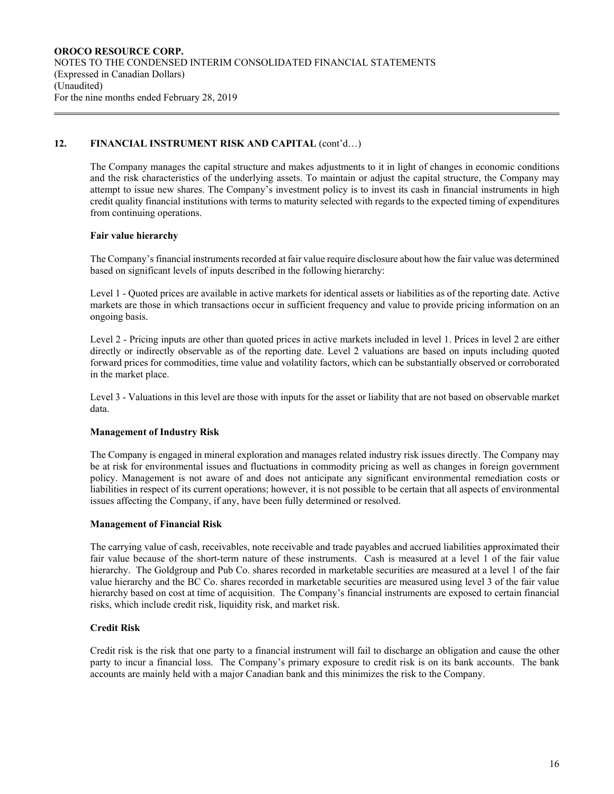# 12. FINANCIAL INSTRUMENT RISK AND CAPITAL (cont'd...)

The Company manages the capital structure and makes adjustments to it in light of changes in economic conditions and the risk characteristics of the underlying assets. To maintain or adjust the capital structure, the Company may attempt to issue new shares. The Company's investment policy is to invest its cash in financial instruments in high credit quality financial institutions with terms to maturity selected with regards to the expected timing of expenditures from continuing operations.

### **Fair value hierarchy**

The Company's financial instruments recorded at fair value require disclosure about how the fair value was determined based on significant levels of inputs described in the following hierarchy:

Level 1 - Quoted prices are available in active markets for identical assets or liabilities as of the reporting date. Active markets are those in which transactions occur in sufficient frequency and value to provide pricing information on an ongoing basis.

Level 2 - Pricing inputs are other than quoted prices in active markets included in level 1. Prices in level 2 are either directly or indirectly observable as of the reporting date. Level 2 valuations are based on inputs including quoted forward prices for commodities, time value and volatility factors, which can be substantially observed or corroborated in the market place.

Level 3 - Valuations in this level are those with inputs for the asset or liability that are not based on observable market data.

# **Management of Industry Risk**

The Company is engaged in mineral exploration and manages related industry risk issues directly. The Company may be at risk for environmental issues and fluctuations in commodity pricing as well as changes in foreign government policy. Management is not aware of and does not anticipate any significant environmental remediation costs or liabilities in respect of its current operations; however, it is not possible to be certain that all aspects of environmental issues affecting the Company, if any, have been fully determined or resolved.

### **Management of Financial Risk**

The carrying value of cash, receivables, note receivable and trade payables and accrued liabilities approximated their fair value because of the short-term nature of these instruments. Cash is measured at a level 1 of the fair value hierarchy. The Goldgroup and Pub Co. shares recorded in marketable securities are measured at a level 1 of the fair value hierarchy and the BC Co. shares recorded in marketable securities are measured using level 3 of the fair value hierarchy based on cost at time of acquisition. The Company's financial instruments are exposed to certain financial risks, which include credit risk, liquidity risk, and market risk.

# **Credit Risk**

Credit risk is the risk that one party to a financial instrument will fail to discharge an obligation and cause the other party to incur a financial loss. The Company's primary exposure to credit risk is on its bank accounts. The bank accounts are mainly held with a major Canadian bank and this minimizes the risk to the Company.